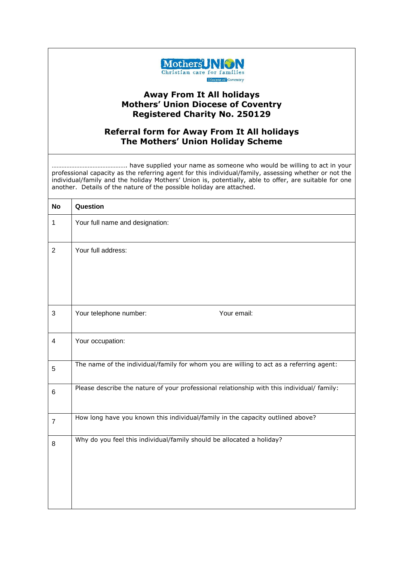

## **Away From It All holidays Mothers' Union Diocese of Coventry Registered Charity No. 250129**

## **Referral form for Away From It All holidays The Mothers' Union Holiday Scheme**

………………………………………. have supplied your name as someone who would be willing to act in your professional capacity as the referring agent for this individual/family, assessing whether or not the individual/family and the holiday Mothers' Union is, potentially, able to offer, are suitable for one another. Details of the nature of the possible holiday are attached.

| <b>No</b>               | Question                                                                                   |
|-------------------------|--------------------------------------------------------------------------------------------|
| $\mathbf{1}$            | Your full name and designation:                                                            |
| $\overline{2}$          | Your full address:                                                                         |
| 3                       | Your telephone number:<br>Your email:                                                      |
| $\overline{\mathbf{4}}$ | Your occupation:                                                                           |
| 5                       | The name of the individual/family for whom you are willing to act as a referring agent:    |
| 6                       | Please describe the nature of your professional relationship with this individual/ family: |
| $\overline{7}$          | How long have you known this individual/family in the capacity outlined above?             |
| 8                       | Why do you feel this individual/family should be allocated a holiday?                      |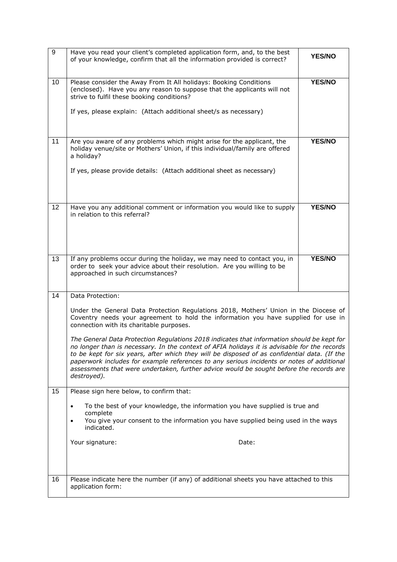| $\boldsymbol{9}$ | Have you read your client's completed application form, and, to the best<br>of your knowledge, confirm that all the information provided is correct?                                                                                                                                                                                                                                                                                                                                                                                                                                                                                                                                                                                            | <b>YES/NO</b> |
|------------------|-------------------------------------------------------------------------------------------------------------------------------------------------------------------------------------------------------------------------------------------------------------------------------------------------------------------------------------------------------------------------------------------------------------------------------------------------------------------------------------------------------------------------------------------------------------------------------------------------------------------------------------------------------------------------------------------------------------------------------------------------|---------------|
| 10               | Please consider the Away From It All holidays: Booking Conditions<br>(enclosed). Have you any reason to suppose that the applicants will not<br>strive to fulfil these booking conditions?<br>If yes, please explain: (Attach additional sheet/s as necessary)                                                                                                                                                                                                                                                                                                                                                                                                                                                                                  | <b>YES/NO</b> |
| 11               | Are you aware of any problems which might arise for the applicant, the<br>holiday venue/site or Mothers' Union, if this individual/family are offered<br>a holiday?<br>If yes, please provide details: (Attach additional sheet as necessary)                                                                                                                                                                                                                                                                                                                                                                                                                                                                                                   | <b>YES/NO</b> |
| 12               | Have you any additional comment or information you would like to supply<br>in relation to this referral?                                                                                                                                                                                                                                                                                                                                                                                                                                                                                                                                                                                                                                        | <b>YES/NO</b> |
| 13               | If any problems occur during the holiday, we may need to contact you, in<br>order to seek your advice about their resolution. Are you willing to be<br>approached in such circumstances?                                                                                                                                                                                                                                                                                                                                                                                                                                                                                                                                                        | <b>YES/NO</b> |
| 14               | Data Protection:<br>Under the General Data Protection Regulations 2018, Mothers' Union in the Diocese of<br>Coventry needs your agreement to hold the information you have supplied for use in<br>connection with its charitable purposes.<br>The General Data Protection Regulations 2018 indicates that information should be kept for<br>no longer than is necessary. In the context of AFIA holidays it is advisable for the records<br>to be kept for six years, after which they will be disposed of as confidential data. (If the<br>paperwork includes for example references to any serious incidents or notes of additional<br>assessments that were undertaken, further advice would be sought before the records are<br>destroyed). |               |
| 15               | Please sign here below, to confirm that:<br>To the best of your knowledge, the information you have supplied is true and<br>$\bullet$<br>complete<br>You give your consent to the information you have supplied being used in the ways<br>$\bullet$<br>indicated.<br>Your signature:<br>Date:                                                                                                                                                                                                                                                                                                                                                                                                                                                   |               |
| 16               | Please indicate here the number (if any) of additional sheets you have attached to this<br>application form:                                                                                                                                                                                                                                                                                                                                                                                                                                                                                                                                                                                                                                    |               |